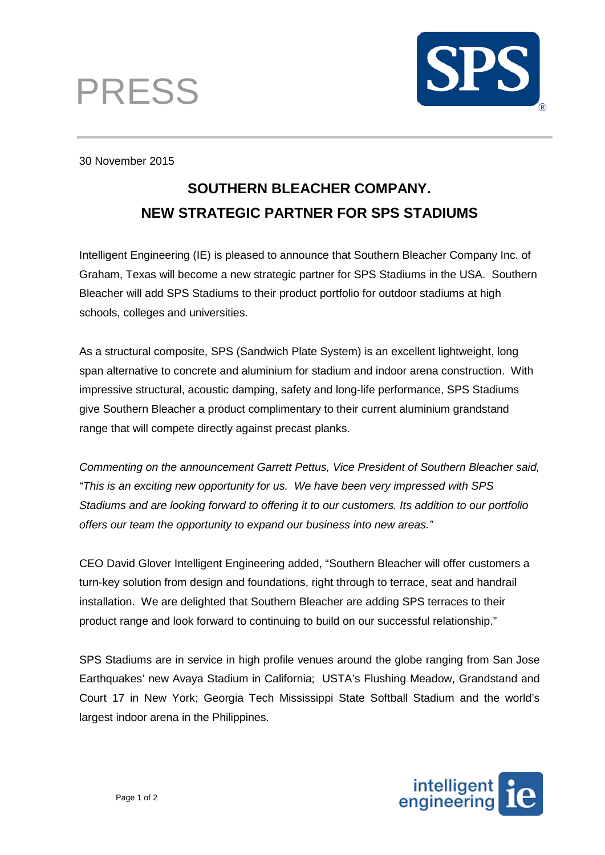



30 November 2015

# **SOUTHERN BLEACHER COMPANY. NEW STRATEGIC PARTNER FOR SPS STADIUMS**

Intelligent Engineering (IE) is pleased to announce that Southern Bleacher Company Inc. of Graham, Texas will become a new strategic partner for SPS Stadiums in the USA. Southern Bleacher will add SPS Stadiums to their product portfolio for outdoor stadiums at high schools, colleges and universities.

As a structural composite, SPS (Sandwich Plate System) is an excellent lightweight, long span alternative to concrete and aluminium for stadium and indoor arena construction. With impressive structural, acoustic damping, safety and long-life performance, SPS Stadiums give Southern Bleacher a product complimentary to their current aluminium grandstand range that will compete directly against precast planks.

*Commenting on the announcement Garrett Pettus, Vice President of Southern Bleacher said, "This is an exciting new opportunity for us. We have been very impressed with SPS Stadiums and are looking forward to offering it to our customers. Its addition to our portfolio offers our team the opportunity to expand our business into new areas."*

CEO David Glover Intelligent Engineering added, "Southern Bleacher will offer customers a turn-key solution from design and foundations, right through to terrace, seat and handrail installation. We are delighted that Southern Bleacher are adding SPS terraces to their product range and look forward to continuing to build on our successful relationship."

SPS Stadiums are in service in high profile venues around the globe ranging from San Jose Earthquakes' new Avaya Stadium in California; USTA's Flushing Meadow, Grandstand and Court 17 in New York; Georgia Tech Mississippi State Softball Stadium and the world's largest indoor arena in the Philippines.